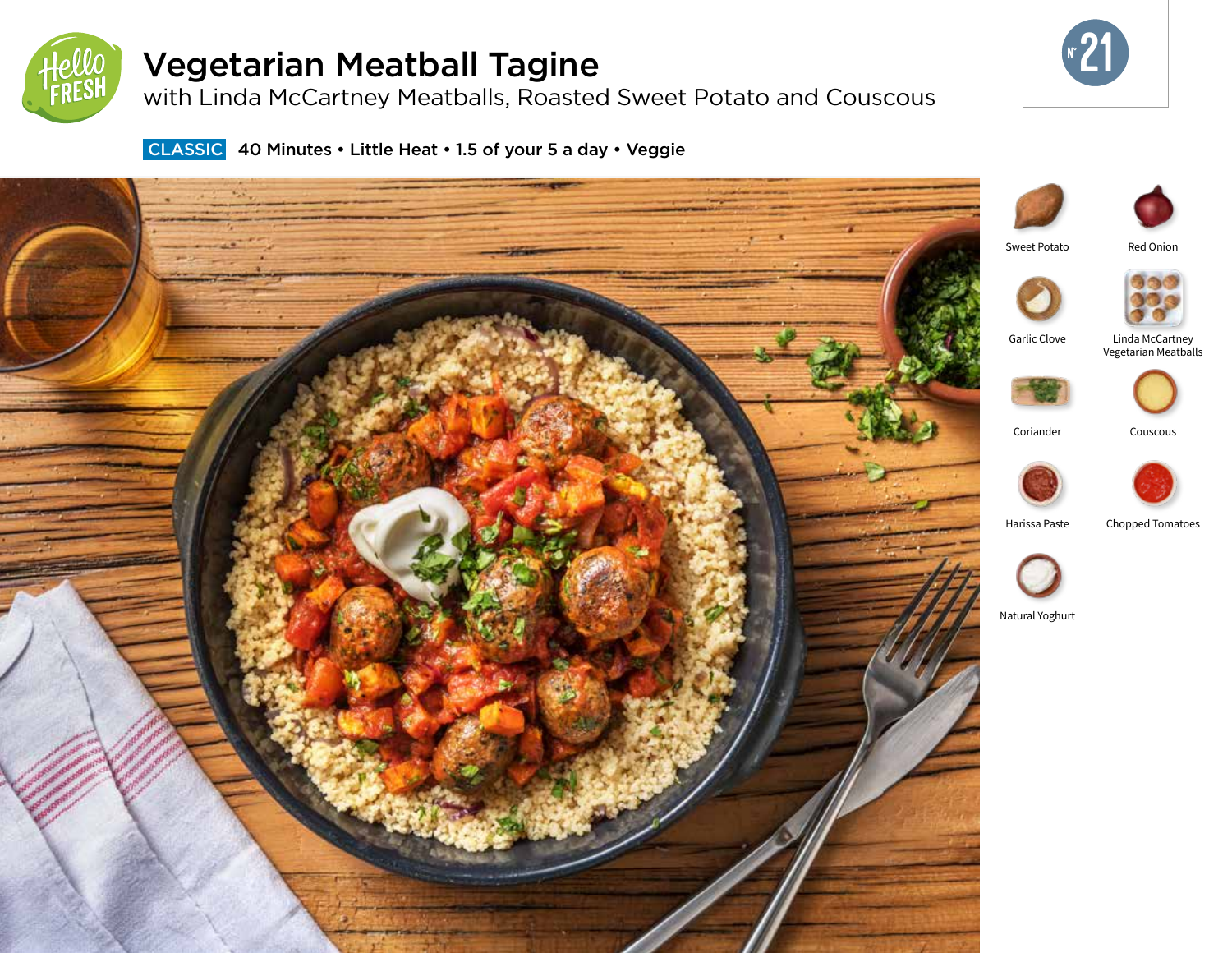

# Vegetarian Meatball Tagine

with Linda McCartney Meatballs, Roasted Sweet Potato and Couscous



**CLASSIC** 40 Minutes • Little Heat • 1.5 of your 5 a day • Veggie